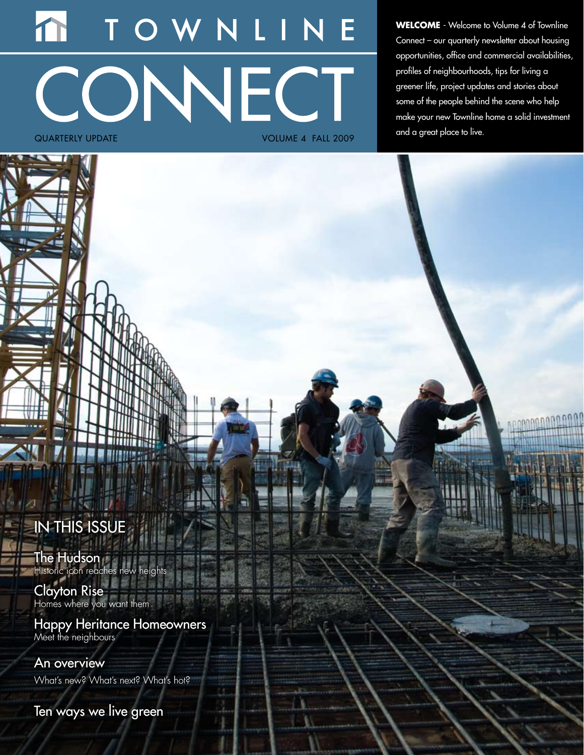# WNLIN CONNECT quarterly update Volume 4 FALL 2009

**WELCOME** - Welcome to Volume 4 of Townline Connect – our quarterly newsletter about housing opportunities, office and commercial availabilities, profiles of neighbourhoods, tips for living a greener life, project updates and stories about some of the people behind the scene who help make your new Townline home a solid investment and a great place to live.

# IN THIS ISSUE

The Hudson Historic icon reaches new heights

Clayton Rise Homes where you want them

Happy Heritance Homeowners Meet the neighbours

An overview What's new? What's next? What's hot?

Ten ways we live green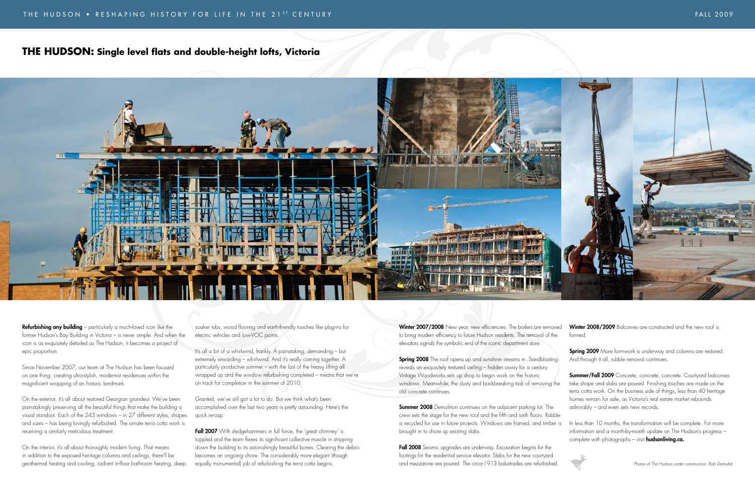Refurbishing any building – particularly a much-loved icon like the former Hudson's Bay Building in Victoria – is never simple. And when the icon is as exquisitely detailed as The Hudson, it becomes a project of epic proportion.

Since November 2007, our team at The Hudson has been focused on one thing: creating ultra-stylish, modernist residences within the magnificent wrapping of an historic landmark.

On the exterior, it's all about restored Georgian grandeur. We've been painstakingly preserving all the beautiful things that make the building a visual standout. Each of the 243 windows – in 27 different styles, shapes and sizes – has being lovingly refurbished. The ornate terra cotta work is receiving a similarly meticulous treatment.

On the interior, it's all about thoroughly modern living. That means in addition to the exposed heritage columns and ceilings, there'll be geothermal heating and cooling, radiant in-floor bathroom heating, deep Fall 2007 With sledgehammers in full force, the 'great chimney' is toppled and the team flexes its significant collective muscle in stripping down the building to its astonishingly beautiful bones. Clearing the debris becomes an ongoing chore. The considerably more elegant (though equally monumental) job of refurbishing the terra cotta begins.

soaker tubs, wood flooring and earth-friendly touches like plug-ins for electric vehicles and low-VOC paints.

Winter 2007/2008 New year, new efficiencies. The boilers are removed to bring modern efficiency to future Hudson residents. The removal of the elevators signals the symbolic end of the iconic department store.

It's all a bit of a whirlwind, frankly. A painstaking, demanding – but extremely rewarding – whirlwind. And it's really coming together. A particularly productive summer – with the last of the heavy lifting all wrapped up and the window refurbishing completed – means that we're on track for completion in the summer of 2010.

**Spring 2008** The roof opens up and sunshine streams in. Sandblasting reveals an exquisitely textured ceiling – hidden away for a century. Vintage Woodworks sets up shop to begin work on the historic windows. Meanwhile, the dusty and backbreaking task of removing the old concrete continues.

**Summer 2008** Demolition continues on the adjacent parking lot. The crew sets the stage for the new roof and the fifth and sixth floors. Rubble is recycled for use in future projects. Windows are framed, and timber is brought in to shore up existing slabs.

Granted, we've still got a lot to do. But we think what's been accomplished over the last two years is pretty astounding. Here's the quick re-cap:

> Fall 2008 Seismic upgrades are underway. Excavation begins for the footings for the residential service elevator. Slabs for the new courtyard and mezzanine are poured. The circa-1913 balustrades are refurbished.

Winter 2008/2009 Balconies are constructed and the new roof is formed.

**Spring 2009** More formwork is underway and columns are restored. And through it all, rubble removal continues.

# **The Hudson: Single level flats and double-height lofts, Victoria**



Summer/Fall 2009 Concrete, concrete, concrete. Courtyard balconies take shape and slabs are poured. Finishing touches are made on the terra cotta work. On the business side of things, less than 40 heritage homes remain for sale, as Victoria's real estate market rebounds admirably – and even sets new records.

In less than 10 months, the transformation will be complete. For more information and a month-by-month update on The Hudson's progress – complete with photographs – visit **hudsonliving.ca.** 

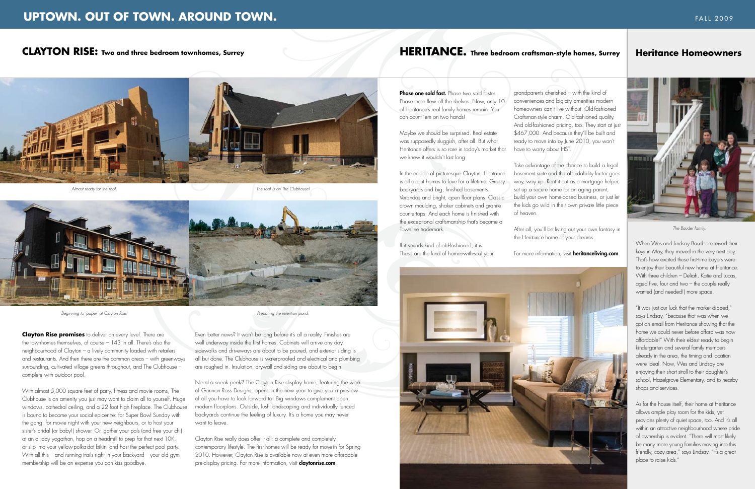Phase one sold fast. Phase two sold faster Phase three flew off the shelves. Now, only 10 of Heritance's real family homes remain. You can count 'em on two hands!

Maybe we should be surprised. Real estate was supposedly sluggish, after all. But what Heritance offers is so rare in today's market that we knew it wouldn't last long.

In the middle of picturesque Clayton, Heritance is all about homes to love for a lifetime. Grassy backyards and big, finished basements. Verandas and bright, open floor plans. Classic crown moulding, shaker cabinets and granite countertops. And each home is finished with the exceptional craftsmanship that's become a Townline trademark.

Take advantage of the chance to build a legal basement suite and the affordability factor goes way, way up. Rent it out as a mortgage helper, set up a secure home for an aging parent, build your own home-based business, or just let the kids go wild in their own private little piece

### For more information, visit **heritanceliving.com**.

If it sounds kind of old-fashioned, it is. These are the kind of homes-with-soul your

grandparents cherished – with the kind of conveniences and big-city amenities modern homeowners can't live without. Old-fashioned Craftsman-style charm. Old-fashioned quality. And old-fashioned pricing, too. They start at just \$467,000. And because they'll be built and ready to move into by June 2010, you won't have to worry about HST.

of heaven.

After all, you'll be living out your own fantasy in the Heritance home of your dreams.





*The Bauder family.*

When Wes and Lindsay Bauder received their keys in May, they moved in the very next day. That's how excited these first-time buyers were to enjoy their beautiful new home at Heritance. With three children – Deliah, Katie and Lucas, aged five, four and two – the couple really wanted (and needed!) more space.

"It was just our luck that the market dipped," says Lindsay, "because that was when we got an email from Heritance showing that the home we could never before afford was now affordable!" With their eldest ready to begin kindergarten and several family members already in the area, the timing and location were ideal. Now, Wes and Lindsay are enjoying their short stroll to their daughter's school, Hazelgrove Elementary, and to nearby shops and services.

Clayton Rise really does offer it all: a complete and completely contemporary lifestyle. The first homes will be ready for move-in for Spring 2010. However, Clayton Rise is available now at even more affordable pre-display pricing. For more information, visit **claytonrise.com**.

# **HERITANCE.** Three bedroom craftsman-style homes, Surrey | Heritance Homeowners

As for the house itself, their home at Heritance allows ample play room for the kids, yet provides plenty of quiet space, too. And it's all within an attractive neighbourhood where pride of ownership is evident. "There will most likely be many more young families moving into this friendly, cozy area," says Lindsay. "It's a great place to raise kids."

**Clayton Rise promises** to deliver on every level. There are the townhomes themselves, of course – 143 in all. There's also the neighbourhood of Clayton – a lively community loaded with retailers and restaurants. And then there are the common areas – with greenways surrounding, cultivated village greens throughout, and The Clubhouse – complete with outdoor pool.

With almost 5,000 square feet of party, fitness and movie rooms, The Clubhouse is an amenity you just may want to claim all to yourself. Huge windows, cathedral ceiling, and a 22 foot high fireplace. The Clubhouse is bound to become your social epicentre: for Super Bowl Sunday with the gang, for movie night with your new neighbours, or to host your sister's bridal (or baby!) shower. Or, gather your pals (and free your chi) at an all-day yogathon, hop on a treadmill to prep for that next 10K, or slip into your yellow-polka-dot bikini and host the perfect pool party. With all this – and running trails right in your backyard – your old gym membership will be an expense you can kiss goodbye.

Even better news? It won't be long before it's all a reality. Finishes are well underway inside the first homes. Cabinets will arrive any day, sidewalks and driveways are about to be poured, and exterior siding is all but done. The Clubhouse is waterproofed and electrical and plumbing are roughed in. Insulation, drywall and siding are about to begin.

Need a sneak peek? The Clayton Rise display home, featuring the work of Gannon Ross Designs, opens in the new year to give you a preview of all you have to look forward to. Big windows complement open, modern floorplans. Outside, lush landscaping and individually fenced backyards continue the feeling of luxury. It's a home you may never want to leave.

# **UPTOWN. OUT OF TOWN. AROUND TOWN. FALL 2009** *EALL 2009*

# **CLAYTON RISE: Two and three bedroom townhomes, Surrey**



*Beginning to 'paper' at Clayton Rise.*

*The roof is on The Clubhouse!*



*Preparing the retention pond.*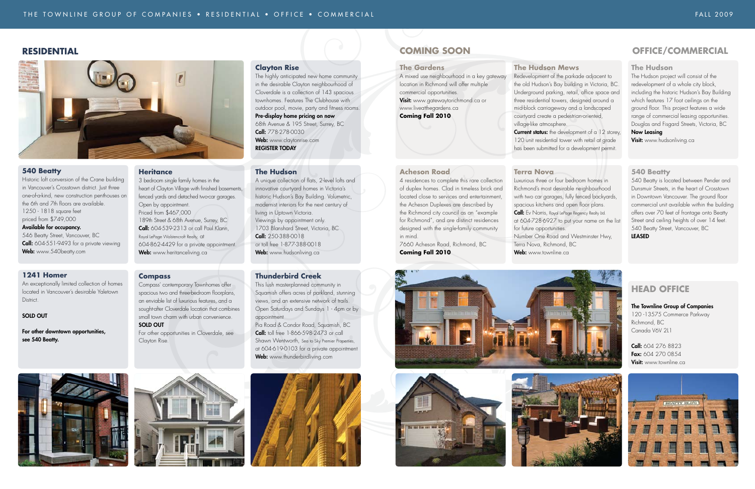# **RESIDENTIAL COMING SOON**

### **The Hudson**

The Hudson project will consist of the redevelopment of a whole city block, including the historic Hudson's Bay Building which features 17 foot ceilings on the ground floor. This project features a wide range of commercial leasing opportunities. Douglas and Fisgard Streets, Victoria, BC

## Now Leasing

**Visit:** www.hudsonliving.ca

### **540 Beatty**

540 Beatty is located between Pender and Dunsmuir Streets, in the heart of Crosstown in Downtown Vancouver. The ground floor commercial unit available within the building offers over 70 feet of frontage onto Beatty Street and ceiling heights of over 14 feet. 540 Beatty Street, Vancouver, BC LEASED



# **Head Office**

#### The Townline Group of Companies

120 -13575 Commerce Parkway Richmond, BC Canada V6V 2L1

Call: 604 276 8823 Fax: 604 270 0854 Visit: www.townline.ca



# **OFFICE/COMMERCIAL**

#### **The Gardens**

A mixed use neighbourhood in a key gateway location in Richmond will offer multiple commercial opportunities. Visit: www.gatewaytorichmond.ca or www.liveatthegardens.ca **Coming Fall 2010** 

> **Call:** Ev Norris, Royal LePage Regency Realty Ltd. at 604-728-6927 to put your name on the list

### **Acheson Road**

Historic loft conversion of the Crane building in Vancouver's Crosstown district. Just three one-of-a-kind, new construction penthouses on the 6th and 7th floors are available. 1250 - 1818 square feet priced from \$749,000 Available for occupancy. 546 Beatty Street, Vancouver, BC Call: 604-551-9493 for a private viewing Web: www.540beatty.com

4 residences to complete this rare collection of duplex homes. Clad in timeless brick and located close to services and entertainment, the Acheson Duplexes are described by the Richmond city council as an "example for Richmond", and are distinct residences designed with the single-family community

in mind.

7660 Acheson Road, Richmond, BC

**Coming Fall 2010**

189th Street & 68th Avenue, Surrey, BC **Call:** 604-539-2313 or call Paul Klann,

## **The Hudson Mews**

Redevelopment of the parkade adjacent to the old Hudson's Bay building in Victoria, BC. Underground parking, retail, office space and three residential towers, designed around a mid-block carriageway and a landscaped courtyard create a pedestrian-oriented, village-like atmosphere. **Current status:** the development of a 12 storey, 120 unit residential tower with retail at grade has been submitted for a development permit.

Call: 778-278-0030 Web: www.claytonrise.com

> Luxurious three or four bedroom homes in Richmond's most desirable neighbourhood with two car garages, fully fenced backyards, spacious kitchens and open floor plans.

**Terra Nova** for future opportunities.

Web: www.townline.ca







# 1703 Blanshard Street, Victoria, BC Call: 250-388-0018 or toll free 1-877-388-0018 Web: www.hudsonliving.ca **Thunderbird Creek**

Pia Road & Condor Road, Squamish, BC **Call:** toll free 1-866-598-2473 or call Shawn Wentworth, Sea to Sky Premier Properties, at 604-619-0103 for a private appointment Web: www.thunderbirdliving.com



Number One Road and Westminster Hwy, Terra Nova, Richmond, BC

#### **540 Beatty**

### **1241 Homer**

An exceptionally limited collection of homes located in Vancouver's desirable Yaletown District.

### SOLD OUT

For other downtown opportunities, see 540 Beatty.





**Heritance**

3 bedroom single family homes in the

heart of Clayton Village with finished basements, fenced yards and detached two-car garages.

Open by appointment. Priced from \$467,000

Royal LePage Wolstencroft Realty, at

Web: www.heritanceliving.ca

604-862-4429 for a private appointment.

**Compass** 

Compass' contemporary Townhomes offer spacious two and three-bedroom floorplans, an enviable list of luxurious features, and a sought-after Cloverdale location that combines small town charm with urban convenience.

SOLD OUT

For other opportunities in Cloverdale, see

Clayton Rise.

**Clayton Rise**

The highly anticipated new home community in the desirable Clayton neighbourhood of Cloverdale is a collection of 143 spacious townhomes. Features The Clubhouse with outdoor pool, movie, party and fitness rooms.

Pre-display home pricing on now 68th Avenue & 195 Street, Surrey, BC

Register Today

**The Hudson** 

A unique collection of flats, 2-level lofts and innovative courtyard homes in Victoria's historic Hudson's Bay Building. Volumetric, modernist interiors for the next century of

living in Uptown Victoria. Viewings by appointment only.

This lush masterplanned community in Squamish offers acres of parkland, stunning views, and an extensive network of trails. Open Saturdays and Sundays 1 - 4pm or by appointment